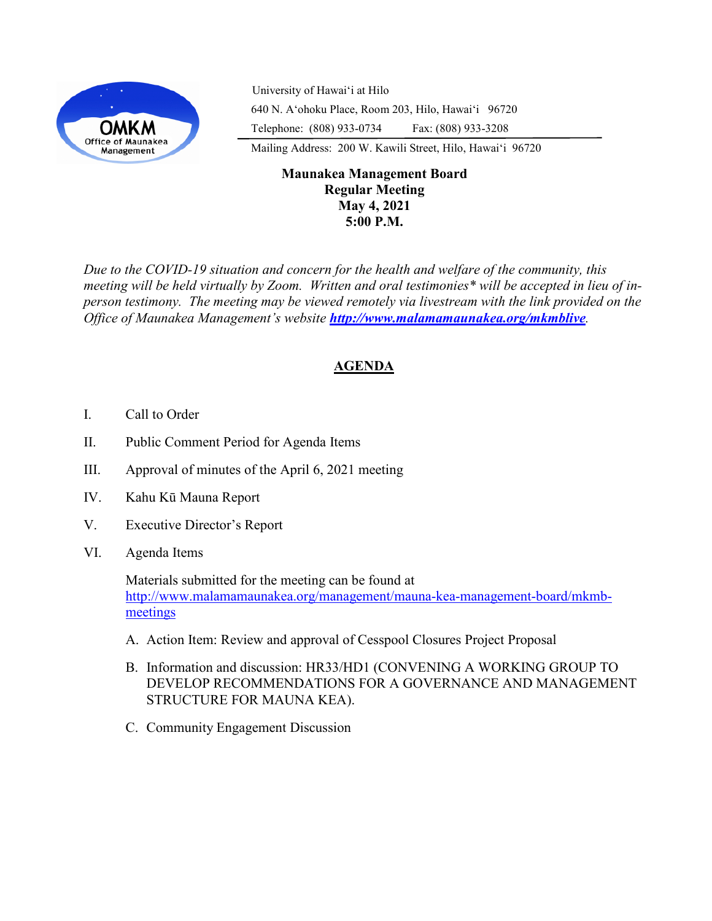

University of Hawaiʻi at Hilo 640 N. A'ohoku Place, Room 203, Hilo, Hawai'i 96720 Telephone: (808) 933-0734 Fax: (808) 933-3208

Mailing Address: 200 W. Kawili Street, Hilo, Hawai'i 96720

# **Maunakea Management Board Regular Meeting May 4, 2021 5:00 P.M.**

*Due to the COVID-19 situation and concern for the health and welfare of the community, this meeting will be held virtually by Zoom. Written and oral testimonies\* will be accepted in lieu of inperson testimony. The meeting may be viewed remotely via livestream with the link provided on the Office of Maunakea Management's website <http://www.malamamaunakea.org/mkmblive>.*

# **AGENDA**

- I. Call to Order
- II. Public Comment Period for Agenda Items
- III. Approval of minutes of the April 6, 2021 meeting
- IV. Kahu Kū Mauna Report
- V. Executive Director's Report
- VI. Agenda Items

Materials submitted for the meeting can be found at [http://www.malamamaunakea.org/management/mauna](http://www.malamamaunakea.org/management/mauna-kea-management-board/mkmb-meetings)-kea-management-board/mkmb[meetings](http://www.malamamaunakea.org/management/mauna-kea-management-board/mkmb-meetings)

- A. Action Item: Review and approval of Cesspool Closures Project Proposal
- B. Information and discussion: HR33/HD1 (CONVENING A WORKING GROUP TO DEVELOP RECOMMENDATIONS FOR A GOVERNANCE AND MANAGEMENT STRUCTURE FOR MAUNA KEA).
- C. Community Engagement Discussion